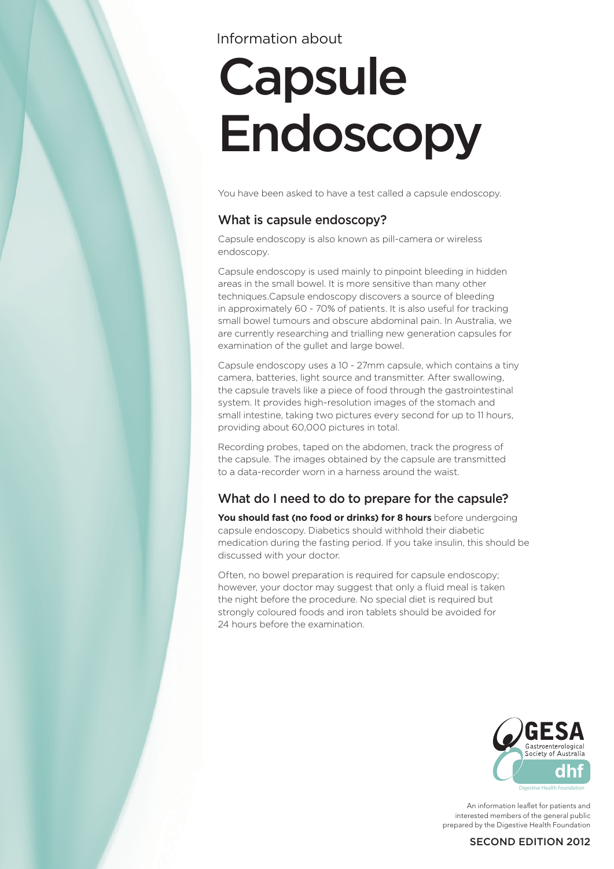# Information about

# **Capsule** Endoscopy

You have been asked to have a test called a capsule endoscopy.

## What is capsule endoscopy?

Capsule endoscopy is also known as pill-camera or wireless endoscopy.

Capsule endoscopy is used mainly to pinpoint bleeding in hidden areas in the small bowel. It is more sensitive than many other techniques.Capsule endoscopy discovers a source of bleeding in approximately 60 - 70% of patients. It is also useful for tracking small bowel tumours and obscure abdominal pain. In Australia, we are currently researching and trialling new generation capsules for examination of the gullet and large bowel.

Capsule endoscopy uses a 10 - 27mm capsule, which contains a tiny camera, batteries, light source and transmitter. After swallowing, the capsule travels like a piece of food through the gastrointestinal system. It provides high-resolution images of the stomach and small intestine, taking two pictures every second for up to 11 hours, providing about 60,000 pictures in total.

Recording probes, taped on the abdomen, track the progress of the capsule. The images obtained by the capsule are transmitted to a data-recorder worn in a harness around the waist.

## What do I need to do to prepare for the capsule?

You should fast (no food or drinks) for 8 hours before undergoing capsule endoscopy. Diabetics should withhold their diabetic medication during the fasting period. If you take insulin, this should be discussed with your doctor.

Often, no bowel preparation is required for capsule endoscopy; however, your doctor may suggest that only a fluid meal is taken the night before the procedure. No special diet is required but strongly coloured foods and iron tablets should be avoided for 24 hours before the examination.



An information leaflet for patients and interested members of the general public prepared by the Digestive Health Foundation

### SECOND EDITION 2012